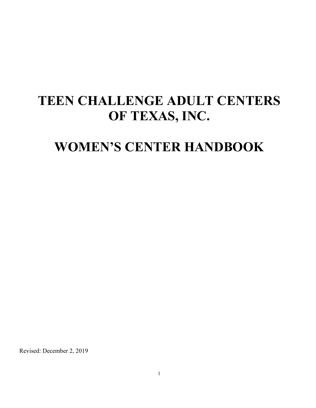# **TEEN CHALLENGE ADULT CENTERS OF TEXAS, INC.**

# **WOMEN'S CENTER HANDBOOK**

Revised: December 2, 2019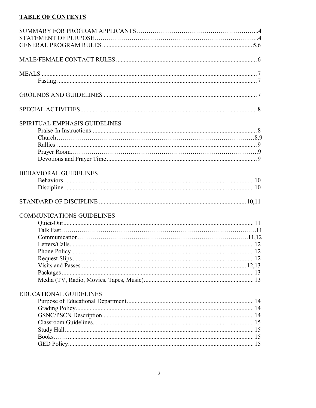#### **TABLE OF CONTENTS**

| SPIRITUAL EMPHASIS GUIDELINES    |  |
|----------------------------------|--|
|                                  |  |
|                                  |  |
|                                  |  |
|                                  |  |
|                                  |  |
|                                  |  |
| <b>BEHAVIORAL GUIDELINES</b>     |  |
|                                  |  |
|                                  |  |
|                                  |  |
| <b>COMMUNICATIONS GUIDELINES</b> |  |
|                                  |  |
|                                  |  |
|                                  |  |
|                                  |  |
|                                  |  |
|                                  |  |
|                                  |  |
|                                  |  |
|                                  |  |
|                                  |  |
| <b>EDUCATIONAL GUIDELINES</b>    |  |
|                                  |  |
|                                  |  |
|                                  |  |
|                                  |  |
|                                  |  |
|                                  |  |
|                                  |  |
|                                  |  |
|                                  |  |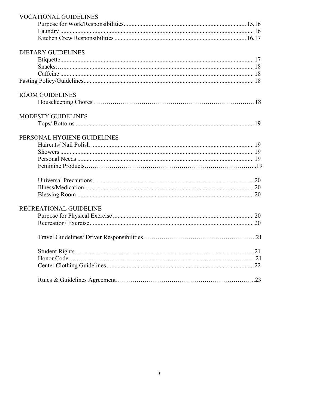| <b>VOCATIONAL GUIDELINES</b> |  |
|------------------------------|--|
|                              |  |
|                              |  |
|                              |  |
| <b>DIETARY GUIDELINES</b>    |  |
|                              |  |
|                              |  |
|                              |  |
|                              |  |
| <b>ROOM GUIDELINES</b>       |  |
|                              |  |
| MODESTY GUIDELINES           |  |
|                              |  |
| PERSONAL HYGIENE GUIDELINES  |  |
|                              |  |
|                              |  |
|                              |  |
|                              |  |
|                              |  |
|                              |  |
|                              |  |
| RECREATIONAL GUIDELINE       |  |
|                              |  |
|                              |  |
|                              |  |
|                              |  |
|                              |  |
|                              |  |
|                              |  |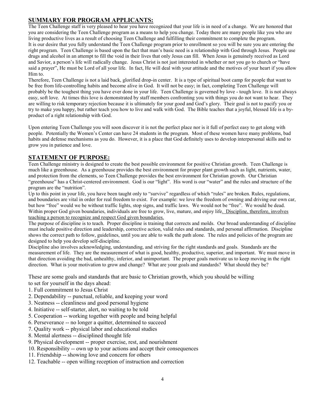#### **SUMMARY FOR PROGRAM APPLICANTS:**

The Teen Challenge staff is very pleased to hear you have recognized that your life is in need of a change. We are honored that you are considering the Teen Challenge program as a means to help you change. Today there are many people like you who are living productive lives as a result of choosing Teen Challenge and fulfilling their commitment to complete the program. It is our desire that you fully understand the Teen Challenge program prior to enrollment so you will be sure you are entering the right program. Teen Challenge is based upon the fact that man's basic need is a relationship with God through Jesus. People use drugs and alcohol in an attempt to fill the void in their lives that only Jesus can fill. When Jesus is genuinely received as Lord and Savior, a person's life will radically change. Jesus Christ is not just interested in whether or not you go to church or "have said a prayer", He must be Lord of all your life. In fact, He will deal with your attitude and the motives of your heart if you allow Him to.

Therefore, Teen Challenge is not a laid back, glorified drop-in center. It is a type of spiritual boot camp for people that want to be free from life-controlling habits and become alive in God. It will not be easy; in fact, completing Teen Challenge will probably be the toughest thing you have ever done in your life. Teen Challenge is governed by love - tough love. It is not always easy, soft love. At times this love is demonstrated by staff members confronting you with things you do not want to hear. They are willing to risk temporary rejection because it is ultimately for your good and God's glory. Their goal is not to pacify you or try to make you happy, but rather teach you how to live and walk with God. The Bible teaches that a joyful, blessed life is a byproduct of a right relationship with God.

Upon entering Teen Challenge you will soon discover it is not the perfect place nor is it full of perfect easy to get along with people. Potentially the Women's Center can have 24 students in the program. Most of these women have many problems, bad habits and defense mechanisms as you do. However, it is a place that God definitely uses to develop interpersonal skills and to grow you in patience and love.

#### **STATEMENT OF PURPOSE:**

Teen Challenge ministry is designed to create the best possible environment for positive Christian growth. Teen Challenge is much like a greenhouse. As a greenhouse provides the best environment for proper plant growth such as light, nutrients, water, and protection from the elements, so Teen Challenge provides the best environment for Christian growth. Our Christian "greenhouse" has a Christ-centered environment. God is our "light". His word is our "water" and the rules and structure of the program are the "nutrition".

Up to this point in your life, you have been taught only to "survive" regardless of which "rules" are broken. Rules, regulations, and boundaries are vital in order for real freedom to exist. For example: we love the freedom of owning and driving our own car, but how "free" would we be without traffic lights, stop signs, and traffic laws. We would not be "free". We would be dead. Within proper God given boundaries, individuals are free to grow, live, mature, and enjoy life. Discipline, therefore, involves teaching a person to recognize and respect God given boundaries.

The purpose of discipline is to teach. Proper discipline is training that corrects and molds. Our broad understanding of discipline must include positive direction and leadership, corrective action, valid rules and standards, and personal affirmation. Discipline shows the correct path to follow, guidelines, until you are able to walk the path alone. The rules and policies of the program are designed to help you develop self-discipline.

Discipline also involves acknowledging, understanding, and striving for the right standards and goals. Standards are the measurement of life. They are the measurement of what is good, healthy, productive, superior, and important. We must move in that direction avoiding the bad, unhealthy, inferior, and unimportant. The proper goals motivate us to keep moving in the right direction. What is your motivation to grow and change? What are your goals and standards? What should they be?

These are some goals and standards that are basic to Christian growth, which you should be willing

to set for yourself in the days ahead:

- 1. Full commitment to Jesus Christ
- 2. Dependability -- punctual, reliable, and keeping your word
- 3. Neatness -- cleanliness and good personal hygiene
- 4. Initiative -- self-starter, alert, no waiting to be told
- 5. Cooperation -- working together with people and being helpful
- 6. Perseverance -- no longer a quitter, determined to succeed
- 7. Quality work -- physical labor and educational studies
- 8. Mental alertness -- disciplined thought life
- 9. Physical development -- proper exercise, rest, and nourishment
- 10. Responsibility -- own up to your actions and accept their consequences
- 11. Friendship -- showing love and concern for others
- 12. Teachable -- open willing reception of instruction and correction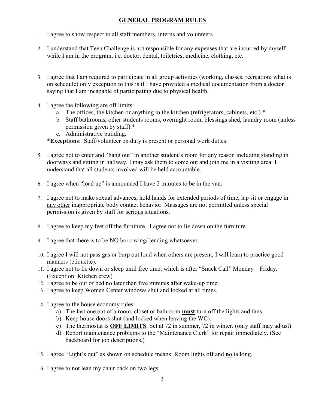# **GENERAL PROGRAM RULES**

- 1. I agree to show respect to all staff members, interns and volunteers.
- 2. I understand that Teen Challenge is not responsible for any expenses that are incurred by myself while I am in the program, i.e. doctor, dental, toiletries, medicine, clothing, etc.
- 3. I agree that I am required to participate in all group activities (working, classes, recreation; what is on schedule) only exception to this is if I have provided a medical documentation from a doctor saying that I am incapable of participating due to physical health.
- 4. I agree the following are off limits:
	- a. The offices, the kitchen or anything in the kitchen (refrigerators, cabinets, etc.) \*
	- b. Staff bathrooms, other students rooms, overnight room, blessings shed, laundry room (unless permission given by staff).\*
	- c. Administrative building.

\***Exceptions**: Staff/volunteer on duty is present or personal work duties.

- 5. I agree not to enter and "hang out" in another student's room for any reason including standing in doorways and sitting in hallway. I may ask them to come out and join me in a visiting area. I understand that all students involved will be held accountable.
- 6. I agree when "load up" is announced I have 2 minutes to be in the van.
- 7. I agree not to make sexual advances, hold hands for extended periods of time, lap sit or engage in any other inappropriate body contact behavior. Massages are not permitted unless special permission is given by staff for serious situations.
- 8. I agree to keep my feet off the furniture. I agree not to lie down on the furniture.
- 9. I agree that there is to be NO borrowing/ lending whatsoever.
- 10. I agree I will not pass gas or burp out loud when others are present, I will learn to practice good manners (etiquette).
- 11. I agree not to lie down or sleep until free time; which is after "Snack Call" Monday Friday. (Exception: Kitchen crew)
- 12. I agree to be out of bed no later than five minutes after wake-up time.
- 13. I agree to keep Women Center windows shut and locked at all times.
- 14. I agree to the house economy rules:
	- a) The last one out of a room, closet or bathroom **must** turn off the lights and fans.
	- b) Keep house doors shut (and locked when leaving the WC).
	- c) The thermostat is **OFF LIMITS**. Set at 72 in summer, 72 in winter. (only staff may adjust)
	- d) Report maintenance problems to the "Maintenance Clerk" for repair immediately. (See backboard for job descriptions.)
- 15. I agree "Light's out" as shown on schedule means: Room lights off and **no** talking.
- 16. I agree to not lean my chair back on two legs.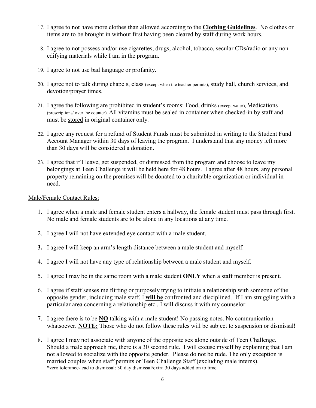- 17. I agree to not have more clothes than allowed according to the **Clothing Guidelines**. No clothes or items are to be brought in without first having been cleared by staff during work hours.
- 18. I agree to not possess and/or use cigarettes, drugs, alcohol, tobacco, secular CDs/radio or any nonedifying materials while I am in the program.
- 19. I agree to not use bad language or profanity.
- 20. I agree not to talk during chapels, class (except when the teacher permits), study hall, church services, and devotion/prayer times.
- 21. I agree the following are prohibited in student's rooms: Food, drinks (except water), Medications (prescriptions/ over the counter). All vitamins must be sealed in container when checked-in by staff and must be stored in original container only.
- 22. I agree any request for a refund of Student Funds must be submitted in writing to the Student Fund Account Manager within 30 days of leaving the program. I understand that any money left more than 30 days will be considered a donation.
- 23. I agree that if I leave, get suspended, or dismissed from the program and choose to leave my belongings at Teen Challenge it will be held here for 48 hours. I agree after 48 hours, any personal property remaining on the premises will be donated to a charitable organization or individual in need.

Male/Female Contact Rules:

- 1. I agree when a male and female student enters a hallway, the female student must pass through first. No male and female students are to be alone in any locations at any time.
- 2. I agree I will not have extended eye contact with a male student.
- **3.** I agree I will keep an arm's length distance between a male student and myself.
- 4. I agree I will not have any type of relationship between a male student and myself.
- 5. I agree I may be in the same room with a male student **ONLY** when a staff member is present.
- 6. I agree if staff senses me flirting or purposely trying to initiate a relationship with someone of the opposite gender, including male staff, I **will be** confronted and disciplined. If I am struggling with a particular area concerning a relationship etc., I will discuss it with my counselor.
- 7. I agree there is to be **NO** talking with a male student! No passing notes. No communication whatsoever. **NOTE:** Those who do not follow these rules will be subject to suspension or dismissal!
- 8. I agree I may not associate with anyone of the opposite sex alone outside of Teen Challenge. Should a male approach me, there is a 30 second rule. I will excuse myself by explaining that I am not allowed to socialize with the opposite gender. Please do not be rude. The only exception is married couples when staff permits or Teen Challenge Staff (excluding male interns). \*zero tolerance-lead to dismissal: 30 day dismissal/extra 30 days added on to time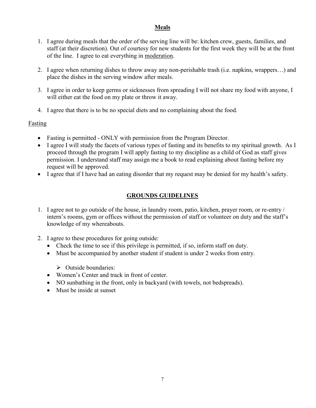#### **Meals**

- 1. I agree during meals that the order of the serving line will be: kitchen crew, guests, families, and staff (at their discretion). Out of courtesy for new students for the first week they will be at the front of the line. I agree to eat everything in moderation.
- 2. I agree when returning dishes to throw away any non-perishable trash (i.e. napkins, wrappers…) and place the dishes in the serving window after meals.
- 3. I agree in order to keep germs or sicknesses from spreading I will not share my food with anyone, I will either eat the food on my plate or throw it away.
- 4. I agree that there is to be no special diets and no complaining about the food.

#### Fasting

- Fasting is permitted ONLY with permission from the Program Director.
- I agree I will study the facets of various types of fasting and its benefits to my spiritual growth. As I proceed through the program I will apply fasting to my discipline as a child of God as staff gives permission. I understand staff may assign me a book to read explaining about fasting before my request will be approved.
- I agree that if I have had an eating disorder that my request may be denied for my health's safety.

# **GROUNDS GUIDELINES**

- 1. I agree not to go outside of the house, in laundry room, patio, kitchen, prayer room, or re-entry / intern's rooms, gym or offices without the permission of staff or volunteer on duty and the staff's knowledge of my whereabouts.
- 2. I agree to these procedures for going outside:
	- Check the time to see if this privilege is permitted, if so, inform staff on duty.
	- Must be accompanied by another student if student is under 2 weeks from entry.
		- $\triangleright$  Outside boundaries:
	- Women's Center and track in front of center.
	- NO sunbathing in the front, only in backyard (with towels, not bedspreads).
	- Must be inside at sunset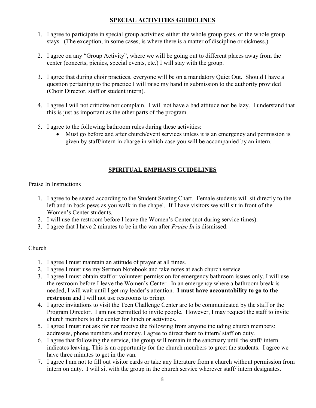# **SPECIAL ACTIVITIES GUIDELINES**

- 1. I agree to participate in special group activities; either the whole group goes, or the whole group stays. (The exception, in some cases, is where there is a matter of discipline or sickness.)
- 2. I agree on any "Group Activity", where we will be going out to different places away from the center (concerts, picnics, special events, etc.) I will stay with the group.
- 3. I agree that during choir practices, everyone will be on a mandatory Quiet Out. Should I have a question pertaining to the practice I will raise my hand in submission to the authority provided (Choir Director, staff or student intern).
- 4. I agree I will not criticize nor complain. I will not have a bad attitude nor be lazy. I understand that this is just as important as the other parts of the program.
- 5. I agree to the following bathroom rules during these activities:
	- Must go before and after church/event services unless it is an emergency and permission is given by staff/intern in charge in which case you will be accompanied by an intern.

# **SPIRITUAL EMPHASIS GUIDELINES**

#### Praise In Instructions

- 1. I agree to be seated according to the Student Seating Chart. Female students will sit directly to the left and in back pews as you walk in the chapel. If I have visitors we will sit in front of the Women's Center students.
- 2. I will use the restroom before I leave the Women's Center (not during service times).
- 3. I agree that I have 2 minutes to be in the van after *Praise In* is dismissed.

#### Church

- 1. I agree I must maintain an attitude of prayer at all times.
- 2. I agree I must use my Sermon Notebook and take notes at each church service.
- 3. I agree I must obtain staff or volunteer permission for emergency bathroom issues only. I will use the restroom before I leave the Women's Center. In an emergency where a bathroom break is needed, I will wait until I get my leader's attention. **I must have accountability to go to the restroom** and I will not use restrooms to primp.
- 4. I agree invitations to visit the Teen Challenge Center are to be communicated by the staff or the Program Director. I am not permitted to invite people. However, I may request the staff to invite church members to the center for lunch or activities.
- 5. I agree I must not ask for nor receive the following from anyone including church members: addresses, phone numbers and money. I agree to direct them to intern/ staff on duty.
- 6. I agree that following the service, the group will remain in the sanctuary until the staff/ intern indicates leaving. This is an opportunity for the church members to greet the students. I agree we have three minutes to get in the van.
- 7. I agree I am not to fill out visitor cards or take any literature from a church without permission from intern on duty. I will sit with the group in the church service wherever staff/ intern designates.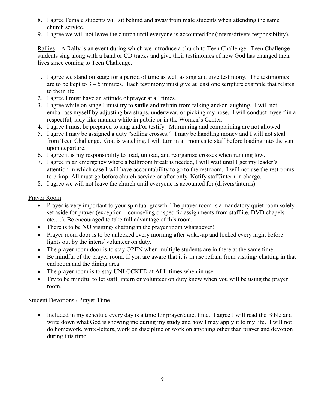- 8. I agree Female students will sit behind and away from male students when attending the same church service.
- 9. I agree we will not leave the church until everyone is accounted for (intern/drivers responsibility).

Rallies – A Rally is an event during which we introduce a church to Teen Challenge. Teen Challenge students sing along with a band or CD tracks and give their testimonies of how God has changed their lives since coming to Teen Challenge.

- 1. I agree we stand on stage for a period of time as well as sing and give testimony. The testimonies are to be kept to  $3 - 5$  minutes. Each testimony must give at least one scripture example that relates to their life.
- 2. I agree I must have an attitude of prayer at all times.
- 3. I agree while on stage I must try to **smile** and refrain from talking and/or laughing. I will not embarrass myself by adjusting bra straps, underwear, or picking my nose. I will conduct myself in a respectful, lady-like manner while in public or in the Women's Center.
- 4. I agree I must be prepared to sing and/or testify. Murmuring and complaining are not allowed.
- 5. I agree I may be assigned a duty "selling crosses." I may be handling money and I will not steal from Teen Challenge. God is watching. I will turn in all monies to staff before loading into the van upon departure.
- 6. I agree it is my responsibility to load, unload, and reorganize crosses when running low.
- 7. I agree in an emergency where a bathroom break is needed, I will wait until I get my leader's attention in which case I will have accountability to go to the restroom. I will not use the restrooms to primp. All must go before church service or after only. Notify staff/intern in charge.
- 8. I agree we will not leave the church until everyone is accounted for (drivers/interns).

#### Prayer Room

- Prayer is very important to your spiritual growth. The prayer room is a mandatory quiet room solely set aside for prayer (exception – counseling or specific assignments from staff i.e. DVD chapels etc.…). Be encouraged to take full advantage of this room.
- There is to be **NO** visiting/ chatting in the prayer room whatsoever!
- Prayer room door is to be unlocked every morning after wake-up and locked every night before lights out by the intern/ volunteer on duty.
- The prayer room door is to stay OPEN when multiple students are in there at the same time.
- Be mindful of the prayer room. If you are aware that it is in use refrain from visiting/ chatting in that end room and the dining area.
- The prayer room is to stay UNLOCKED at ALL times when in use.
- Try to be mindful to let staff, intern or volunteer on duty know when you will be using the prayer room.

#### Student Devotions / Prayer Time

• Included in my schedule every day is a time for prayer/quiet time. I agree I will read the Bible and write down what God is showing me during my study and how I may apply it to my life. I will not do homework, write-letters, work on discipline or work on anything other than prayer and devotion during this time.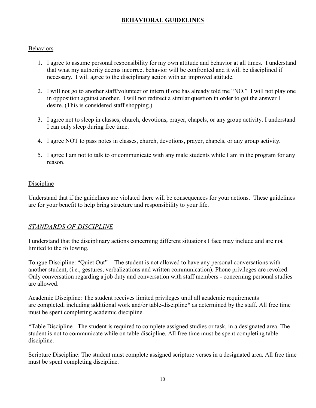# **BEHAVIORAL GUIDELINES**

#### **Behaviors**

- 1. I agree to assume personal responsibility for my own attitude and behavior at all times. I understand that what my authority deems incorrect behavior will be confronted and it will be disciplined if necessary. I will agree to the disciplinary action with an improved attitude.
- 2. I will not go to another staff/volunteer or intern if one has already told me "NO." I will not play one in opposition against another. I will not redirect a similar question in order to get the answer I desire. (This is considered staff shopping.)
- 3. I agree not to sleep in classes, church, devotions, prayer, chapels, or any group activity. I understand I can only sleep during free time.
- 4. I agree NOT to pass notes in classes, church, devotions, prayer, chapels, or any group activity.
- 5. I agree I am not to talk to or communicate with any male students while I am in the program for any reason.

#### Discipline

Understand that if the guidelines are violated there will be consequences for your actions. These guidelines are for your benefit to help bring structure and responsibility to your life.

#### *STANDARDS OF DISCIPLINE*

I understand that the disciplinary actions concerning different situations I face may include and are not limited to the following.

Tongue Discipline: "Quiet Out" - The student is not allowed to have any personal conversations with another student, (i.e., gestures, verbalizations and written communication). Phone privileges are revoked. Only conversation regarding a job duty and conversation with staff members - concerning personal studies are allowed.

Academic Discipline: The student receives limited privileges until all academic requirements are completed, including additional work and/or table-discipline\* as determined by the staff. All free time must be spent completing academic discipline.

\*Table Discipline - The student is required to complete assigned studies or task, in a designated area. The student is not to communicate while on table discipline. All free time must be spent completing table discipline.

Scripture Discipline: The student must complete assigned scripture verses in a designated area. All free time must be spent completing discipline.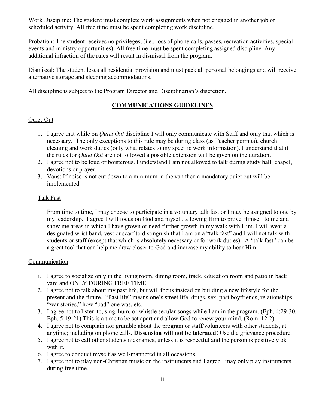Work Discipline: The student must complete work assignments when not engaged in another job or scheduled activity. All free time must be spent completing work discipline.

Probation: The student receives no privileges, (i.e., loss of phone calls, passes, recreation activities, special events and ministry opportunities). All free time must be spent completing assigned discipline. Any additional infraction of the rules will result in dismissal from the program.

Dismissal: The student loses all residential provision and must pack all personal belongings and will receive alternative storage and sleeping accommodations.

All discipline is subject to the Program Director and Disciplinarian's discretion.

#### **COMMUNICATIONS GUIDELINES**

#### Quiet-Out

- 1. I agree that while on *Quiet Out* discipline I will only communicate with Staff and only that which is necessary. The only exceptions to this rule may be during class (as Teacher permits), church cleaning and work duties (only what relates to my specific work information). I understand that if the rules for *Quiet Out* are not followed a possible extension will be given on the duration.
- 2. I agree not to be loud or boisterous. I understand I am not allowed to talk during study hall, chapel, devotions or prayer.
- 3. Vans: If noise is not cut down to a minimum in the van then a mandatory quiet out will be implemented.

#### Talk Fast

From time to time, I may choose to participate in a voluntary talk fast or I may be assigned to one by my leadership. I agree I will focus on God and myself, allowing Him to prove Himself to me and show me areas in which I have grown or need further growth in my walk with Him. I will wear a designated wrist band, vest or scarf to distinguish that I am on a "talk fast" and I will not talk with students or staff (except that which is absolutely necessary or for work duties). A "talk fast" can be a great tool that can help me draw closer to God and increase my ability to hear Him.

#### Communication:

- 1. I agree to socialize only in the living room, dining room, track, education room and patio in back yard and ONLY DURING FREE TIME.
- 2. I agree not to talk about my past life, but will focus instead on building a new lifestyle for the present and the future. "Past life" means one's street life, drugs, sex, past boyfriends, relationships, "war stories," how "bad" one was, etc.
- 3. I agree not to listen-to, sing, hum, or whistle secular songs while I am in the program. (Eph. 4:29-30, Eph. 5:19-21) This is a time to be set apart and allow God to renew your mind. (Rom. 12:2)
- 4. I agree not to complain nor grumble about the program or staff/volunteers with other students, at anytime; including on phone calls. **Dissension will not be tolerated!** Use the grievance procedure.
- 5. I agree not to call other students nicknames, unless it is respectful and the person is positively ok with it.
- 6. I agree to conduct myself as well-mannered in all occasions.
- 7. I agree not to play non-Christian music on the instruments and I agree I may only play instruments during free time.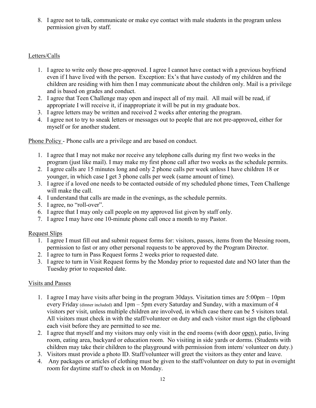8. I agree not to talk, communicate or make eye contact with male students in the program unless permission given by staff.

#### Letters/Calls

- 1. I agree to write only those pre-approved. I agree I cannot have contact with a previous boyfriend even if I have lived with the person. Exception: Ex's that have custody of my children and the children are residing with him then I may communicate about the children only. Mail is a privilege and is based on grades and conduct.
- 2. I agree that Teen Challenge may open and inspect all of my mail. All mail will be read, if appropriate I will receive it, if inappropriate it will be put in my graduate box.
- 3. I agree letters may be written and received 2 weeks after entering the program.
- 4. I agree not to try to sneak letters or messages out to people that are not pre-approved, either for myself or for another student.

Phone Policy - Phone calls are a privilege and are based on conduct.

- 1. I agree that I may not make nor receive any telephone calls during my first two weeks in the program (just like mail). I may make my first phone call after two weeks as the schedule permits.
- 2. I agree calls are 15 minutes long and only 2 phone calls per week unless I have children 18 or younger, in which case I get 3 phone calls per week (same amount of time).
- 3. I agree if a loved one needs to be contacted outside of my scheduled phone times, Teen Challenge will make the call.
- 4. I understand that calls are made in the evenings, as the schedule permits.
- 5. I agree, no "roll-over".
- 6. I agree that I may only call people on my approved list given by staff only.
- 7. I agree I may have one 10-minute phone call once a month to my Pastor.

#### Request Slips

- 1. I agree I must fill out and submit request forms for: visitors, passes, items from the blessing room, permission to fast or any other personal requests to be approved by the Program Director.
- 2. I agree to turn in Pass Request forms 2 weeks prior to requested date.
- 3. I agree to turn in Visit Request forms by the Monday prior to requested date and NO later than the Tuesday prior to requested date.

#### Visits and Passes

- 1. I agree I may have visits after being in the program 30days. Visitation times are 5:00pm 10pm every Friday (dinner included) and 1pm – 5pm every Saturday and Sunday, with a maximum of 4 visitors per visit, unless multiple children are involved, in which case there can be 5 visitors total. All visitors must check in with the staff/volunteer on duty and each visitor must sign the clipboard each visit before they are permitted to see me.
- 2. I agree that myself and my visitors may only visit in the end rooms (with door open), patio, living room, eating area, backyard or education room. No visiting in side yards or dorms. (Students with children may take their children to the playground with permission from intern/ volunteer on duty.)
- 3. Visitors must provide a photo ID. Staff/volunteer will greet the visitors as they enter and leave.
- 4. Any packages or articles of clothing must be given to the staff/volunteer on duty to put in overnight room for daytime staff to check in on Monday.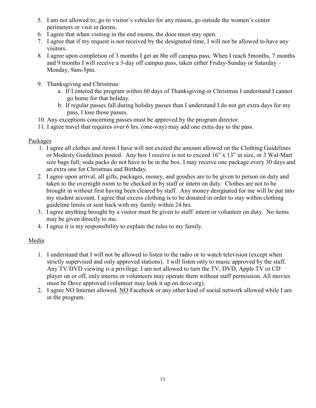- 5. I am not allowed to; go to visitor's vehicles for any reason, go outside the women's center perimeters or visit in dorms.
- 6. I agree that when visiting in the end rooms, the door must stay open.
- 7. I agree that if my request is not received by the designated time, I will not be allowed to have any visitors.
- 8. I agree upon completion of 3 months I get an 8hr off campus pass. When I reach 5months, 7 months and 9 months I will receive a 3-day off campus pass, taken either Friday-Sunday or Saturday – Monday, 9am-5pm.
- 9. Thanksgiving and Christmas:
	- a. If I entered the program within 60 days of Thanksgiving or Christmas I understand I cannot go home for that holiday.
	- b. If regular passes fall during holiday passes than I understand I do not get extra days for my pass, I lose those passes.
- 10. Any exceptions concerning passes must be approved by the program director.
- 11. I agree travel that requires over 6 hrs. (one-way) may add one extra day to the pass.

#### Packages

- 1. I agree all clothes and items I have will not exceed the amount allowed on the Clothing Guidelines or Modesty Guidelines posted. Any box I receive is not to exceed 16" x 13" in size, or 3 Wal-Mart size bags full; soda packs do not have to be in the box. I may receive one package every 30 days and an extra one for Christmas and Birthday.
- 2. I agree upon arrival, all gifts, packages, money, and goodies are to be given to person on duty and taken to the overnight room to be checked in by staff or intern on duty. Clothes are not to be brought in without first having been cleared by staff. Any money designated for me will be put into my student account. I agree that excess clothing is to be donated in order to stay within clothing guideline limits or sent back with my family within 24 hrs.
- 3. I agree anything brought by a visitor must be given to staff/ intern or volunteer on duty. No items may be given directly to me.
- 4. I agree it is my responsibility to explain the rules to my family.

# Media

- 1. I understand that I will not be allowed to listen to the radio or to watch television (except when strictly supervised and only approved stations). I will listen only to music approved by the staff. Any TV/DVD viewing is a privilege. I am not allowed to turn the TV, DVD, Apple TV or CD player on or off, only interns or volunteers may operate them without staff permission. All movies must be Dove approved (volunteer may look it up on dove.org).
- 2. I agree NO Internet allowed. NO Facebook or any other kind of social network allowed while I am in the program.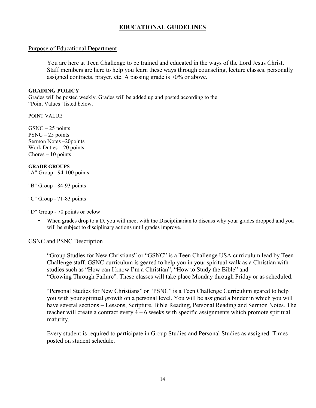# **EDUCATIONAL GUIDELINES**

#### Purpose of Educational Department

You are here at Teen Challenge to be trained and educated in the ways of the Lord Jesus Christ. Staff members are here to help you learn these ways through counseling, lecture classes, personally assigned contracts, prayer, etc. A passing grade is 70% or above.

#### **GRADING POLICY**

Grades will be posted weekly. Grades will be added up and posted according to the "Point Values" listed below.

POINT VALUE:

 $GSNC - 25$  points  $PSNC - 25$  points Sermon Notes –20points Work Duties – 20 points  $Chores - 10 points$ 

**GRADE GROUPS** "A" Group - 94-100 points

"B" Group - 84-93 points

"C" Group - 71-83 points

"D" Group - 70 points or below

- When grades drop to a D, you will meet with the Disciplinarian to discuss why your grades dropped and you will be subject to disciplinary actions until grades improve.

#### GSNC and PSNC Description

"Group Studies for New Christians" or "GSNC" is a Teen Challenge USA curriculum lead by Teen Challenge staff. GSNC curriculum is geared to help you in your spiritual walk as a Christian with studies such as "How can I know I'm a Christian", "How to Study the Bible" and "Growing Through Failure". These classes will take place Monday through Friday or as scheduled.

"Personal Studies for New Christians" or "PSNC" is a Teen Challenge Curriculum geared to help you with your spiritual growth on a personal level. You will be assigned a binder in which you will have several sections – Lessons, Scripture, Bible Reading, Personal Reading and Sermon Notes. The teacher will create a contract every 4 – 6 weeks with specific assignments which promote spiritual maturity.

Every student is required to participate in Group Studies and Personal Studies as assigned. Times posted on student schedule.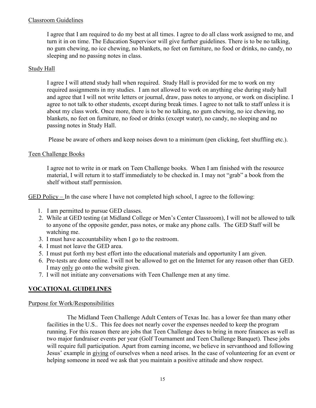#### Classroom Guidelines

I agree that I am required to do my best at all times. I agree to do all class work assigned to me, and turn it in on time. The Education Supervisor will give further guidelines. There is to be no talking, no gum chewing, no ice chewing, no blankets, no feet on furniture, no food or drinks, no candy, no sleeping and no passing notes in class.

#### Study Hall

I agree I will attend study hall when required. Study Hall is provided for me to work on my required assignments in my studies. I am not allowed to work on anything else during study hall and agree that I will not write letters or journal, draw, pass notes to anyone, or work on discipline. I agree to not talk to other students, except during break times. I agree to not talk to staff unless it is about my class work. Once more, there is to be no talking, no gum chewing, no ice chewing, no blankets, no feet on furniture, no food or drinks (except water), no candy, no sleeping and no passing notes in Study Hall.

Please be aware of others and keep noises down to a minimum (pen clicking, feet shuffling etc.).

#### Teen Challenge Books

I agree not to write in or mark on Teen Challenge books. When I am finished with the resource material, I will return it to staff immediately to be checked in. I may not "grab" a book from the shelf without staff permission.

GED Policy – In the case where I have not completed high school, I agree to the following:

- 1. I am permitted to pursue GED classes.
- 2. While at GED testing (at Midland College or Men's Center Classroom), I will not be allowed to talk to anyone of the opposite gender, pass notes, or make any phone calls. The GED Staff will be watching me.
- 3. I must have accountability when I go to the restroom.
- 4. I must not leave the GED area.
- 5. I must put forth my best effort into the educational materials and opportunity I am given.
- 6. Pre-tests are done online. I will not be allowed to get on the Internet for any reason other than GED. I may only go onto the website given.
- 7. I will not initiate any conversations with Teen Challenge men at any time.

#### **VOCATIONAL GUIDELINES**

#### Purpose for Work/Responsibilities

The Midland Teen Challenge Adult Centers of Texas Inc. has a lower fee than many other facilities in the U.S.. This fee does not nearly cover the expenses needed to keep the program running. For this reason there are jobs that Teen Challenge does to bring in more finances as well as two major fundraiser events per year (Golf Tournament and Teen Challenge Banquet). These jobs will require full participation. Apart from earning income, we believe in servanthood and following Jesus' example in giving of ourselves when a need arises. In the case of volunteering for an event or helping someone in need we ask that you maintain a positive attitude and show respect.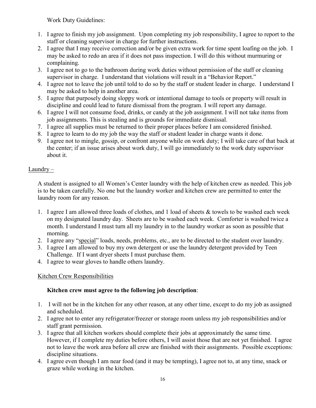Work Duty Guidelines:

- 1. I agree to finish my job assignment. Upon completing my job responsibility, I agree to report to the staff or cleaning supervisor in charge for further instructions.
- 2. I agree that I may receive correction and/or be given extra work for time spent loafing on the job. I may be asked to redo an area if it does not pass inspection. I will do this without murmuring or complaining.
- 3. I agree not to go to the bathroom during work duties without permission of the staff or cleaning supervisor in charge. I understand that violations will result in a "Behavior Report."
- 4. I agree not to leave the job until told to do so by the staff or student leader in charge. I understand I may be asked to help in another area.
- 5. I agree that purposely doing sloppy work or intentional damage to tools or property will result in discipline and could lead to future dismissal from the program. I will report any damage.
- 6. I agree I will not consume food, drinks, or candy at the job assignment. I will not take items from job assignments. This is stealing and is grounds for immediate dismissal.
- 7. I agree all supplies must be returned to their proper places before I am considered finished.
- 8. I agree to learn to do my job the way the staff or student leader in charge wants it done.
- 9. I agree not to mingle, gossip, or confront anyone while on work duty; I will take care of that back at the center; if an issue arises about work duty, I will go immediately to the work duty supervisor about it.

# $Laundry -$

A student is assigned to all Women's Center laundry with the help of kitchen crew as needed. This job is to be taken carefully. No one but the laundry worker and kitchen crew are permitted to enter the laundry room for any reason.

- 1. I agree I am allowed three loads of clothes, and 1 load of sheets & towels to be washed each week on my designated laundry day. Sheets are to be washed each week. Comforter is washed twice a month. I understand I must turn all my laundry in to the laundry worker as soon as possible that morning.
- 2. I agree any "special" loads, needs, problems, etc., are to be directed to the student over laundry.
- 3. I agree I am allowed to buy my own detergent or use the laundry detergent provided by Teen Challenge. If I want dryer sheets I must purchase them.
- 4. I agree to wear gloves to handle others laundry.

# Kitchen Crew Responsibilities

# **Kitchen crew must agree to the following job description**:

- 1. I will not be in the kitchen for any other reason, at any other time, except to do my job as assigned and scheduled.
- 2. I agree not to enter any refrigerator/freezer or storage room unless my job responsibilities and/or staff grant permission.
- 3. I agree that all kitchen workers should complete their jobs at approximately the same time. However, if I complete my duties before others, I will assist those that are not yet finished. I agree not to leave the work area before all crew are finished with their assignments. Possible exceptions: discipline situations.
- 4. I agree even though I am near food (and it may be tempting), I agree not to, at any time, snack or graze while working in the kitchen.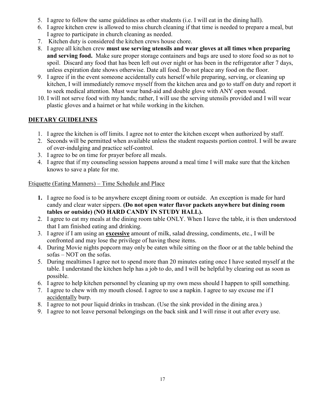- 5. I agree to follow the same guidelines as other students (i.e. I will eat in the dining hall).
- 6. I agree kitchen crew is allowed to miss church cleaning if that time is needed to prepare a meal, but I agree to participate in church cleaning as needed.
- 7. Kitchen duty is considered the kitchen crews house chore.
- 8. I agree all kitchen crew **must use serving utensils and wear gloves at all times when preparing and serving food.** Make sure proper storage containers and bags are used to store food so as not to spoil. Discard any food that has been left out over night or has been in the refrigerator after 7 days, unless expiration date shows otherwise. Date all food. Do not place any food on the floor.
- 9. I agree if in the event someone accidentally cuts herself while preparing, serving, or cleaning up kitchen, I will immediately remove myself from the kitchen area and go to staff on duty and report it to seek medical attention. Must wear band-aid and double glove with ANY open wound.
- 10. I will not serve food with my hands; rather, I will use the serving utensils provided and I will wear plastic gloves and a hairnet or hat while working in the kitchen.

#### **DIETARY GUIDELINES**

- 1. I agree the kitchen is off limits. I agree not to enter the kitchen except when authorized by staff.
- 2. Seconds will be permitted when available unless the student requests portion control. I will be aware of over-indulging and practice self-control.
- 3. I agree to be on time for prayer before all meals.
- 4. I agree that if my counseling session happens around a meal time I will make sure that the kitchen knows to save a plate for me.

#### Etiquette (Eating Manners) – Time Schedule and Place

- **1.** I agree no food is to be anywhere except dining room or outside. An exception is made for hard candy and clear water sippers. **(Do not open water flavor packets anywhere but dining room tables or outside) (NO HARD CANDY IN STUDY HALL).**
- 2. I agree to eat my meals at the dining room table ONLY. When I leave the table, it is then understood that I am finished eating and drinking.
- 3. I agree if I am using an **excessive** amount of milk, salad dressing, condiments, etc., I will be confronted and may lose the privilege of having these items.
- 4. During Movie nights popcorn may only be eaten while sitting on the floor or at the table behind the sofas – NOT on the sofas.
- 5. During mealtimes I agree not to spend more than 20 minutes eating once I have seated myself at the table. I understand the kitchen help has a job to do, and I will be helpful by clearing out as soon as possible.
- 6. I agree to help kitchen personnel by cleaning up my own mess should I happen to spill something.
- 7. I agree to chew with my mouth closed. I agree to use a napkin. I agree to say excuse me if I accidentally burp.
- 8. I agree to not pour liquid drinks in trashcan. (Use the sink provided in the dining area.)
- 9. I agree to not leave personal belongings on the back sink and I will rinse it out after every use.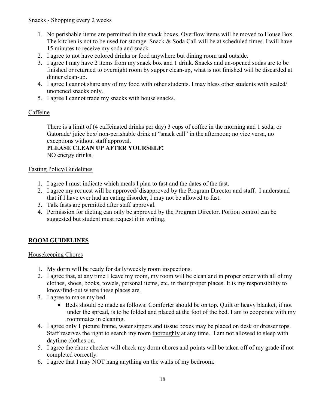- 1. No perishable items are permitted in the snack boxes. Overflow items will be moved to House Box. The kitchen is not to be used for storage. Snack & Soda Call will be at scheduled times. I will have 15 minutes to receive my soda and snack.
- 2. I agree to not have colored drinks or food anywhere but dining room and outside.
- 3. I agree I may have 2 items from my snack box and 1 drink. Snacks and un-opened sodas are to be finished or returned to overnight room by supper clean-up, what is not finished will be discarded at dinner clean-up.
- 4. I agree I cannot share any of my food with other students. I may bless other students with sealed/ unopened snacks only.
- 5. I agree I cannot trade my snacks with house snacks.

#### Caffeine

There is a limit of (4 caffeinated drinks per day) 3 cups of coffee in the morning and 1 soda, or Gatorade/ juice box/ non-perishable drink at "snack call" in the afternoon; no vice versa, no exceptions without staff approval.

**PLEASE CLEAN UP AFTER YOURSELF!**  NO energy drinks.

#### Fasting Policy/Guidelines

- 1. I agree I must indicate which meals I plan to fast and the dates of the fast.
- 2. I agree my request will be approved/ disapproved by the Program Director and staff. I understand that if I have ever had an eating disorder, I may not be allowed to fast.
- 3. Talk fasts are permitted after staff approval.
- 4. Permission for dieting can only be approved by the Program Director. Portion control can be suggested but student must request it in writing.

# **ROOM GUIDELINES**

#### Housekeeping Chores

- 1. My dorm will be ready for daily/weekly room inspections.
- 2. I agree that, at any time I leave my room, my room will be clean and in proper order with all of my clothes, shoes, books, towels, personal items, etc. in their proper places. It is my responsibility to know/find-out where these places are.
- 3. I agree to make my bed.
	- Beds should be made as follows: Comforter should be on top. Quilt or heavy blanket, if not under the spread, is to be folded and placed at the foot of the bed. I am to cooperate with my roommates in cleaning.
- 4. I agree only 1 picture frame, water sippers and tissue boxes may be placed on desk or dresser tops. Staff reserves the right to search my room thoroughly at any time. I am not allowed to sleep with daytime clothes on.
- 5. I agree the chore checker will check my dorm chores and points will be taken off of my grade if not completed correctly.
- 6. I agree that I may NOT hang anything on the walls of my bedroom.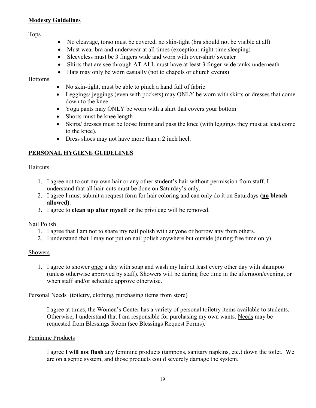#### **Modesty Guidelines**

#### Tops

- No cleavage, torso must be covered, no skin-tight (bra should not be visible at all)
- Must wear bra and underwear at all times (exception: night-time sleeping)
- Sleeveless must be 3 fingers wide and worn with over-shirt/sweater
- Shirts that are see through AT ALL must have at least 3 finger-wide tanks underneath.
- Hats may only be worn casually (not to chapels or church events)

#### **Bottoms**

- No skin-tight, must be able to pinch a hand full of fabric
- Leggings/ jeggings (even with pockets) may ONLY be worn with skirts or dresses that come down to the knee
- Yoga pants may ONLY be worn with a shirt that covers your bottom
- Shorts must be knee length
- Skirts/ dresses must be loose fitting and pass the knee (with leggings they must at least come to the knee).
- Dress shoes may not have more than a 2 inch heel.

# **PERSONAL HYGIENE GUIDELINES**

#### **Haircuts**

- 1. I agree not to cut my own hair or any other student's hair without permission from staff. I understand that all hair-cuts must be done on Saturday's only.
- 2. I agree I must submit a request form for hair coloring and can only do it on Saturdays **(no bleach allowed)**.
- 3. I agree to **clean up after myself** or the privilege will be removed.

#### Nail Polish

- 1. I agree that I am not to share my nail polish with anyone or borrow any from others.
- 2. I understand that I may not put on nail polish anywhere but outside (during free time only).

#### Showers

1. I agree to shower once a day with soap and wash my hair at least every other day with shampoo (unless otherwise approved by staff). Showers will be during free time in the afternoon/evening, or when staff and/or schedule approve otherwise.

Personal Needs (toiletry, clothing, purchasing items from store)

I agree at times, the Women's Center has a variety of personal toiletry items available to students. Otherwise, I understand that I am responsible for purchasing my own wants. Needs may be requested from Blessings Room (see Blessings Request Forms).

#### Feminine Products

I agree I **will not flush** any feminine products (tampons, sanitary napkins, etc.) down the toilet. We are on a septic system, and those products could severely damage the system.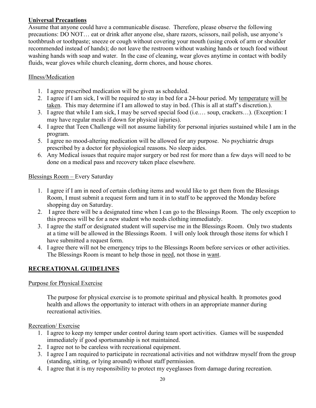#### **Universal Precautions**

Assume that anyone could have a communicable disease. Therefore, please observe the following precautions: DO NOT… eat or drink after anyone else, share razors, scissors, nail polish, use anyone's toothbrush or toothpaste; sneeze or cough without covering your mouth (using crook of arm or shoulder recommended instead of hands); do not leave the restroom without washing hands or touch food without washing hands with soap and water. In the case of cleaning, wear gloves anytime in contact with bodily fluids, wear gloves while church cleaning, dorm chores, and house chores.

#### Illness/Medication

- 1. I agree prescribed medication will be given as scheduled.
- 2. I agree if I am sick, I will be required to stay in bed for a 24-hour period. My temperature will be taken. This may determine if I am allowed to stay in bed. (This is all at staff's discretion.).
- 3. I agree that while I am sick, I may be served special food (i.e.… soup, crackers…). (Exception: I may have regular meals if down for physical injuries).
- 4. I agree that Teen Challenge will not assume liability for personal injuries sustained while I am in the program.
- 5. I agree no mood-altering medication will be allowed for any purpose. No psychiatric drugs prescribed by a doctor for physiological reasons. No sleep aides.
- 6. Any Medical issues that require major surgery or bed rest for more than a few days will need to be done on a medical pass and recovery taken place elsewhere.

#### Blessings Room – Every Saturday

- 1. I agree if I am in need of certain clothing items and would like to get them from the Blessings Room, I must submit a request form and turn it in to staff to be approved the Monday before shopping day on Saturday.
- 2. I agree there will be a designated time when I can go to the Blessings Room. The only exception to this process will be for a new student who needs clothing immediately.
- 3. I agree the staff or designated student will supervise me in the Blessings Room. Only two students at a time will be allowed in the Blessings Room. I will only look through those items for which I have submitted a request form.
- 4. I agree there will not be emergency trips to the Blessings Room before services or other activities. The Blessings Room is meant to help those in need, not those in want.

# **RECREATIONAL GUIDELINES**

#### Purpose for Physical Exercise

The purpose for physical exercise is to promote spiritual and physical health. It promotes good health and allows the opportunity to interact with others in an appropriate manner during recreational activities.

#### Recreation/ Exercise

- 1. I agree to keep my temper under control during team sport activities. Games will be suspended immediately if good sportsmanship is not maintained.
- 2. I agree not to be careless with recreational equipment.
- 3. I agree I am required to participate in recreational activities and not withdraw myself from the group (standing, sitting, or lying around) without staff permission.
- 4. I agree that it is my responsibility to protect my eyeglasses from damage during recreation.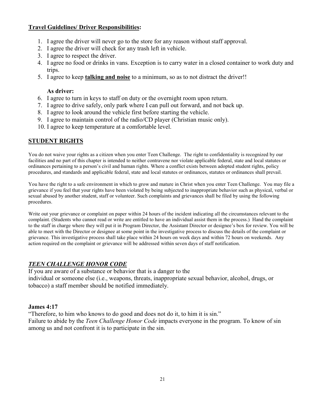#### **Travel Guidelines/ Driver Responsibilities:**

- 1. I agree the driver will never go to the store for any reason without staff approval.
- 2. I agree the driver will check for any trash left in vehicle.
- 3. I agree to respect the driver.
- 4. I agree no food or drinks in vans. Exception is to carry water in a closed container to work duty and trips.
- 5. I agree to keep **talking and noise** to a minimum, so as to not distract the driver!!

#### **As driver:**

- 6. I agree to turn in keys to staff on duty or the overnight room upon return.
- 7. I agree to drive safely, only park where I can pull out forward, and not back up.
- 8. I agree to look around the vehicle first before starting the vehicle.
- 9. I agree to maintain control of the radio/CD player (Christian music only).
- 10. I agree to keep temperature at a comfortable level.

# **STUDENT RIGHTS**

You do not waive your rights as a citizen when you enter Teen Challenge. The right to confidentiality is recognized by our facilities and no part of this chapter is intended to neither contravene nor violate applicable federal, state and local statutes or ordinances pertaining to a person's civil and human rights. Where a conflict exists between adopted student rights, policy procedures, and standards and applicable federal, state and local statutes or ordinances, statutes or ordinances shall prevail.

You have the right to a safe environment in which to grow and mature in Christ when you enter Teen Challenge. You may file a grievance if you feel that your rights have been violated by being subjected to inappropriate behavior such as physical, verbal or sexual abused by another student, staff or volunteer. Such complaints and grievances shall be filed by using the following procedures.

Write out your grievance or complaint on paper within 24 hours of the incident indicating all the circumstances relevant to the complaint. (Students who cannot read or write are entitled to have an individual assist them in the process.) Hand the complaint to the staff in charge where they will put it in Program Director, the Assistant Director or designee's box for review. You will be able to meet with the Director or designee at some point in the investigative process to discuss the details of the complaint or grievance. This investigative process shall take place within 24 hours on week days and within 72 hours on weekends. Any action required on the complaint or grievance will be addressed within seven days of staff notification.

#### *TEEN CHALLENGE HONOR CODE*

If you are aware of a substance or behavior that is a danger to the individual or someone else (i.e., weapons, threats, inappropriate sexual behavior, alcohol, drugs, or tobacco) a staff member should be notified immediately.

#### **James 4:17**

"Therefore, to him who knows to do good and does not do it, to him it is sin." Failure to abide by the *Teen Challenge Honor Code* impacts everyone in the program. To know of sin among us and not confront it is to participate in the sin.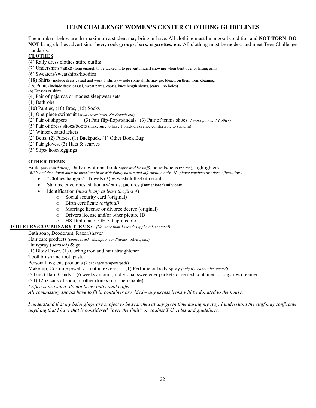#### **TEEN CHALLENGE WOMEN'S CENTER CLOTHING GUIDELINES**

The numbers below are the maximum a student may bring or have. All clothing must be in good condition and **NOT TORN**. **DO NOT** bring clothes advertising: **beer, rock groups, bars, cigarettes, etc.** All clothing must be modest and meet Teen Challenge standards.

#### **CLOTHES**

- (4) Rally dress clothes attire outfits
- (7) Undershirts/tanks (long enough to be tucked in to prevent midriff showing when bent over or lifting arms)
- (6) Sweaters/sweatshirts/hoodies
- (18) Shirts (include dress casual and work T-shirts) note some shirts may get bleach on them from cleaning.
- (18) Pants (include dress casual, sweat pants, capris, knee length shorts, jeans no holes)
- (6) Dresses or skirts
- (4) Pair of pajamas or modest sleepwear sets
- (1) Bathrobe
- (10) Panties, (10) Bras, (15) Socks
- (1) One-piece swimsuit (*must cover torso, No French-cut*)
- (2) Pair of slippers (3) Pair flip-flops/sandals (3) Pair of tennis shoes (*1 work pair and 2 other*)
- (5) Pair of dress shoes/boots (make sure to have 1 black dress shoe comfortable to stand in)
- (2) Winter coats/Jackets
- (2) Belts, (2) Purses, (1) Backpack, (1) Other Book Bag
- (2) Pair gloves, (3) Hats & scarves
- (3) Slips/ hose/leggings

#### **OTHER ITEMS**

Bible *(any translation)*, Daily devotional book *(approved by staff),* pencils/pens (no red), highlighters

*(Bible and devotional must be unwritten in or with family names and information only. No phone numbers or other information.)*

- \*Clothes hangers\*, Towels (3) & washcloths/bath scrub
- Stamps, envelopes, stationary/cards, pictures **(Immediate family only)**
- Identification (*must bring at least the first 4*)
	- o Social security card (original)
		- o Birth certificate *(original)*
		- o Marriage license or divorce decree (original)
		- o Drivers license and/or other picture ID
	- o HS Diploma or GED if applicable

**TOILETRY/COMMISARY ITEMS**: *(No more than 1 month supply unless stated)*

#### Bath soap, Deodorant, Razor/shaver

Hair care products (*comb, brush, shampoo, conditioner,* rollers, *etc.*)

Hairspray (*aerosol*) & gel

(1) Blow Dryer, (1) Curling iron and hair straightener

Toothbrush and toothpaste

Personal hygiene products (2 packages tampons/pads)

Make-up, Costume jewelry – not in excess (1) Perfume or body spray *(only if it cannot be opened)*

(2 bags) Hard Candy (6 weeks amount) individual sweetener packets or sealed container for sugar & creamer

(24) 12oz cans of soda, or other drinks (non-perishable)

*Coffee is provided- do not bring individual coffee*

*All commissary snacks have to fit in container provided – any excess items will be donated to the house.*

*I understand that my belongings are subject to be searched at any given time during my stay. I understand the staff may confiscate anything that I have that is considered "over the limit" or against T.C. rules and guidelines.*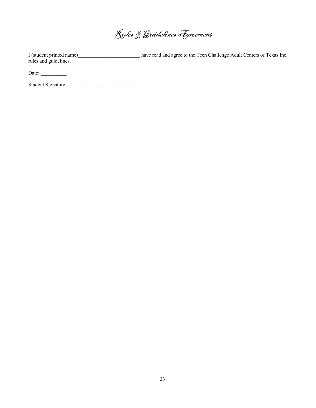Rules & Guidelines Agreement

I (student printed name)\_\_\_\_\_\_\_\_\_\_\_\_\_\_\_\_\_\_\_\_\_\_\_\_ have read and agree to the Teen Challenge Adult Centers of Texas Inc. rules and guidelines.

Date: \_\_\_\_\_\_\_\_\_\_

Student Signature: \_\_\_\_\_\_\_\_\_\_\_\_\_\_\_\_\_\_\_\_\_\_\_\_\_\_\_\_\_\_\_\_\_\_\_\_\_\_\_\_\_\_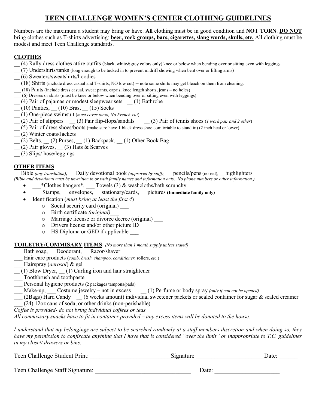# **TEEN CHALLENGE WOMEN'S CENTER CLOTHING GUIDELINES**

Numbers are the maximum a student may bring or have. **All** clothing must be in good condition and **NOT TORN**. **DO NOT** bring clothes such as T-shirts advertising: **beer, rock groups, bars, cigarettes, slang words, skulls, etc.** All clothing must be modest and meet Teen Challenge standards.

#### **CLOTHES**

- \_\_ (4) Rally dress clothes attire outfits (black, white&grey colors only) knee or below when bending over or sitting even with leggings.
- \_\_ (7) Undershirts/tanks (long enough to be tucked in to prevent midriff showing when bent over or lifting arms)
- \_\_ (6) Sweaters/sweatshirts/hoodies
- $(18)$  Shirts (include dress casual and T-shirts, NO low cut) note some shirts may get bleach on them from cleaning.
- \_\_\_ (18) Pants (include dress casual, sweat pants, capris, knee length shorts, jeans no holes)
- \_\_\_ (6) Dresses or skirts (must be knee or below when bending over or sitting even with leggings)
- \_\_ (4) Pair of pajamas or modest sleepwear sets \_\_ (1) Bathrobe
- $(10)$  Panties,  $(10)$  Bras,  $(15)$  Socks
- \_\_ (1) One-piece swimsuit (*must cover torso, No French-cut*)
- \_\_ (2) Pair of slippers \_\_ (3) Pair flip-flops/sandals \_\_ (3) Pair of tennis shoes (*1 work pair and 2 other*)
- \_\_ (5) Pair of dress shoes/boots (make sure have 1 black dress shoe comfortable to stand in) (2 inch heal or lower)
- \_\_ (2) Winter coats/Jackets
- \_\_ (2) Belts, \_\_ (2) Purses, \_\_ (1) Backpack, \_\_ (1) Other Book Bag
- $(2)$  Pair gloves,  $(3)$  Hats & Scarves
- \_\_ (3) Slips/ hose/leggings

#### **OTHER ITEMS**

\_\_ Bible *(any translation)*, \_\_ Daily devotional book *(approved by staff),* \_\_ pencils/pens (no red), \_\_ highlighters *(Bible and devotional must be unwritten in or with family names and information only. No phone numbers or other information.)*

- \_\_\_\*Clothes hangers\*, \_\_\_ Towels (3) & washcloths/bath scrunchy
- $\_\_$ Stamps,  $\_\_$ envelopes,  $\_\_$ stationary/cards,  $\_\_$ pictures (Immediate family only)
- Identification (*must bring at least the first 4*)
	- o Social security card (original) \_\_\_
	- o Birth certificate *(original)\_\_\_*
	- o Marriage license or divorce decree (original) \_\_\_
	- o Drivers license and/or other picture ID \_\_\_
	- o HS Diploma or GED if applicable \_\_\_

#### **TOILETRY/COMMISARY ITEMS**: *(No more than 1 month supply unless stated)*

- Bath soap, Deodorant, Razor/shaver
- \_\_\_ Hair care products (*comb, brush, shampoo, conditioner,* rollers, *etc.*)
- \_\_\_ Hairspray (*aerosol*) & gel
- $\frac{1}{2}$  (1) Blow Dryer,  $\frac{1}{2}$  (1) Curling iron and hair straightener
- \_\_\_ Toothbrush and toothpaste
- \_\_\_ Personal hygiene products (2 packages tampons/pads)
- Make-up, Costume jewelry not in excess (1) Perfume or body spray *(only if can not be opened)*
- \_\_\_ (2Bags) Hard Candy \_\_ (6 weeks amount) individual sweetener packets or sealed container for sugar & sealed creamer
- \_\_\_ (24) 12oz cans of soda, or other drinks (non-perishable)
- *Coffee is provided- do not bring individual coffees or teas*

*All commissary snacks have to fit in container provided – any excess items will be donated to the house.*

*I understand that my belongings are subject to be searched randomly at a staff members discretion and when doing so, they have my permission to confiscate anything that I have that is considered "over the limit" or inappropriate to T.C. guidelines in my closet/ drawers or bins.*

| Teen Challenge Student Print:   | Signature | Date: |
|---------------------------------|-----------|-------|
| Teen Challenge Staff Signature: | Date:     |       |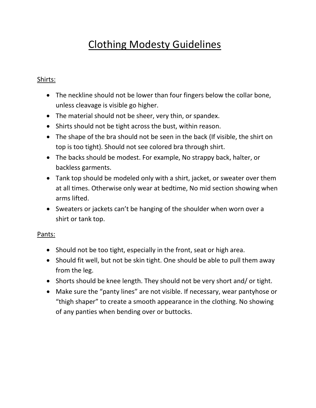# Clothing Modesty Guidelines

# Shirts:

- The neckline should not be lower than four fingers below the collar bone, unless cleavage is visible go higher.
- The material should not be sheer, very thin, or spandex.
- Shirts should not be tight across the bust, within reason.
- The shape of the bra should not be seen in the back (If visible, the shirt on top is too tight). Should not see colored bra through shirt.
- The backs should be modest. For example, No strappy back, halter, or backless garments.
- Tank top should be modeled only with a shirt, jacket, or sweater over them at all times. Otherwise only wear at bedtime, No mid section showing when arms lifted.
- Sweaters or jackets can't be hanging of the shoulder when worn over a shirt or tank top.

# Pants:

- Should not be too tight, especially in the front, seat or high area.
- Should fit well, but not be skin tight. One should be able to pull them away from the leg.
- Shorts should be knee length. They should not be very short and/ or tight.
- Make sure the "panty lines" are not visible. If necessary, wear pantyhose or "thigh shaper" to create a smooth appearance in the clothing. No showing of any panties when bending over or buttocks.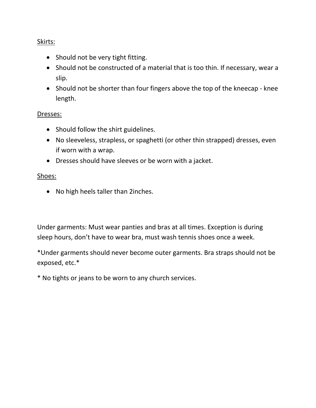# Skirts:

- Should not be very tight fitting.
- Should not be constructed of a material that is too thin. If necessary, wear a slip.
- Should not be shorter than four fingers above the top of the kneecap knee length.

# Dresses:

- Should follow the shirt guidelines.
- No sleeveless, strapless, or spaghetti (or other thin strapped) dresses, even if worn with a wrap.
- Dresses should have sleeves or be worn with a jacket.

# Shoes:

• No high heels taller than 2inches.

Under garments: Must wear panties and bras at all times. Exception is during sleep hours, don't have to wear bra, must wash tennis shoes once a week.

\*Under garments should never become outer garments. Bra straps should not be exposed, etc.\*

\* No tights or jeans to be worn to any church services.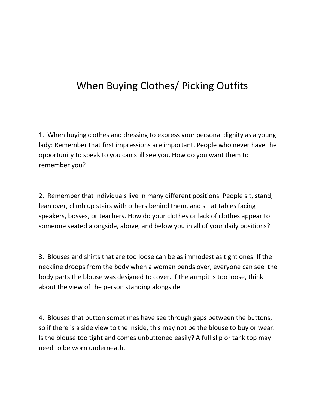# When Buying Clothes/ Picking Outfits

1. When buying clothes and dressing to express your personal dignity as a young lady: Remember that first impressions are important. People who never have the opportunity to speak to you can still see you. How do you want them to remember you?

2. Remember that individuals live in many different positions. People sit, stand, lean over, climb up stairs with others behind them, and sit at tables facing speakers, bosses, or teachers. How do your clothes or lack of clothes appear to someone seated alongside, above, and below you in all of your daily positions?

3. Blouses and shirts that are too loose can be as immodest as tight ones. If the neckline droops from the body when a woman bends over, everyone can see the body parts the blouse was designed to cover. If the armpit is too loose, think about the view of the person standing alongside.

4. Blouses that button sometimes have see through gaps between the buttons, so if there is a side view to the inside, this may not be the blouse to buy or wear. Is the blouse too tight and comes unbuttoned easily? A full slip or tank top may need to be worn underneath.